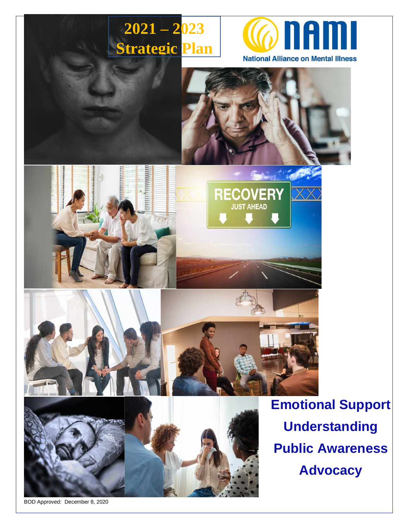

BOD Approved: December 8, 2020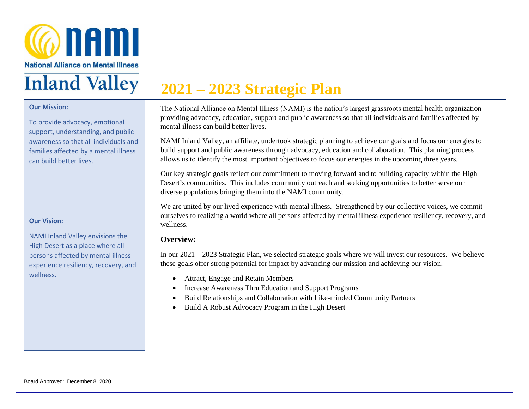

#### **Our Mission:**

I

To provide advocacy, emotional support, understanding, and public awareness so that all individuals and families affected by a mental illness can build better lives.

#### **Our Vision:**

NAMI Inland Valley envisions the High Desert as a place where all persons affected by mental illness experience resiliency, recovery, and wellness.

# **2021 – 2023 Strategic Plan**

The National Alliance on Mental Illness (NAMI) is the nation's largest grassroots mental health organization providing advocacy, education, support and public awareness so that all individuals and families affected by mental illness can build better lives.

NAMI Inland Valley, an affiliate, undertook strategic planning to achieve our goals and focus our energies to build support and public awareness through advocacy, education and collaboration. This planning process allows us to identify the most important objectives to focus our energies in the upcoming three years.

Our key strategic goals reflect our commitment to moving forward and to building capacity within the High Desert's communities. This includes community outreach and seeking opportunities to better serve our diverse populations bringing them into the NAMI community.

We are united by our lived experience with mental illness. Strengthened by our collective voices, we commit ourselves to realizing a world where all persons affected by mental illness experience resiliency, recovery, and wellness.

#### **Overview:**

In our 2021 – 2023 Strategic Plan, we selected strategic goals where we will invest our resources. We believe these goals offer strong potential for impact by advancing our mission and achieving our vision.

- Attract, Engage and Retain Members
- Increase Awareness Thru Education and Support Programs
- Build Relationships and Collaboration with Like-minded Community Partners
- Build A Robust Advocacy Program in the High Desert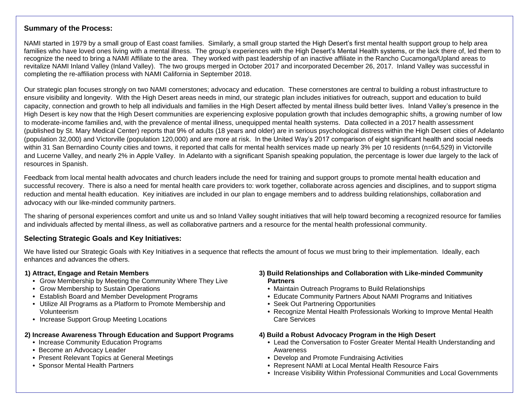#### **Summary of the Process:**

NAMI started in 1979 by a small group of East coast families. Similarly, a small group started the High Desert's first mental health support group to help area families who have loved ones living with a mental illness. The group's experiences with the High Desert's Mental Health systems, or the lack there of, led them to recognize the need to bring a NAMI Affiliate to the area. They worked with past leadership of an inactive affiliate in the Rancho Cucamonga/Upland areas to revitalize NAMI Inland Valley (Inland Valley). The two groups merged in October 2017 and incorporated December 26, 2017. Inland Valley was successful in completing the re-affiliation process with NAMI California in September 2018.

Our strategic plan focuses strongly on two NAMI cornerstones; advocacy and education. These cornerstones are central to building a robust infrastructure to ensure visibility and longevity. With the High Desert areas needs in mind, our strategic plan includes initiatives for outreach, support and education to build capacity, connection and growth to help all individuals and families in the High Desert affected by mental illness build better lives. Inland Valley's presence in the High Desert is key now that the High Desert communities are experiencing explosive population growth that includes demographic shifts, a growing number of low to moderate-income families and, with the prevalence of mental illness, unequipped mental health systems. Data collected in a 2017 health assessment (published by St. Mary Medical Center) reports that 9% of adults (18 years and older) are in serious psychological distress within the High Desert cities of Adelanto (population 32,000) and Victorville (population 120,000) and are more at risk. In the United Way's 2017 comparison of eight significant health and social needs within 31 San Bernardino County cities and towns, it reported that calls for mental health services made up nearly 3% per 10 residents (n=64,529) in Victorville and Lucerne Valley, and nearly 2% in Apple Valley. In Adelanto with a significant Spanish speaking population, the percentage is lower due largely to the lack of resources in Spanish.

Feedback from local mental health advocates and church leaders include the need for training and support groups to promote mental health education and successful recovery. There is also a need for mental health care providers to: work together, collaborate across agencies and disciplines, and to support stigma reduction and mental health education. Key initiatives are included in our plan to engage members and to address building relationships, collaboration and advocacy with our like-minded community partners.

The sharing of personal experiences comfort and unite us and so Inland Valley sought initiatives that will help toward becoming a recognized resource for families and individuals affected by mental illness, as well as collaborative partners and a resource for the mental health professional community.

#### **Selecting Strategic Goals and Key Initiatives:**

We have listed our Strategic Goals with Key Initiatives in a sequence that reflects the amount of focus we must bring to their implementation. Ideally, each enhances and advances the others.

#### **1) Attract, Engage and Retain Members**

- **•** Grow Membership by Meeting the Community Where They Live
- **•** Grow Membership to Sustain Operations
- **•** Establish Board and Member Development Programs
- **•** Utilize All Programs as a Platform to Promote Membership and Volunteerism
- **•** Increase Support Group Meeting Locations

#### **2) Increase Awareness Through Education and Support Programs**

- **•** Increase Community Education Programs
- **•** Become an Advocacy Leader
- **•** Present Relevant Topics at General Meetings
- **•** Sponsor Mental Health Partners
- **3) Build Relationships and Collaboration with Like-minded Community Partners**
	- **•** Maintain Outreach Programs to Build Relationships
	- **•** Educate Community Partners About NAMI Programs and Initiatives
	- **•** Seek Out Partnering Opportunities
	- **•** Recognize Mental Health Professionals Working to Improve Mental Health Care Services

#### **4) Build a Robust Advocacy Program in the High Desert**

- **•** Lead the Conversation to Foster Greater Mental Health Understanding and Awareness
- **•** Develop and Promote Fundraising Activities
- **•** Represent NAMI at Local Mental Health Resource Fairs
- **•** Increase Visibility Within Professional Communities and Local Governments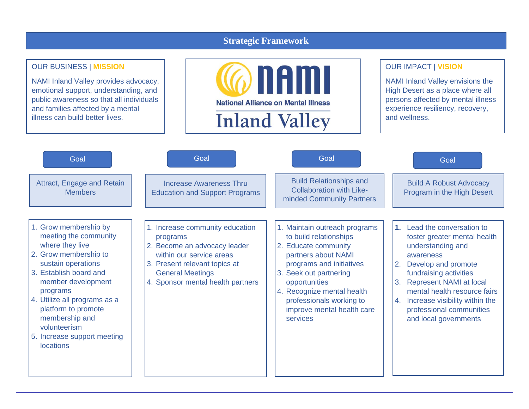### **Strategic Framework**

#### OUR BUSINESS | **MISSION**

NAMI Inland Valley provides advocacy, emotional support, understanding, and public awareness so that all individuals and families affected by a mental illness can build better lives.



#### OUR IMPACT | **VISION**

NAMI Inland Valley envisions the High Desert as a place where all persons affected by mental illness experience resiliency, recovery, and wellness.

| Goal                                                                                                                                                                                                                                                                                                                     | Goal                                                                                                                                                                                                     | Goal                                                                                                                                                                                                                                                                                 | Goal                                                                                                                                                                                                                                                                                                                               |
|--------------------------------------------------------------------------------------------------------------------------------------------------------------------------------------------------------------------------------------------------------------------------------------------------------------------------|----------------------------------------------------------------------------------------------------------------------------------------------------------------------------------------------------------|--------------------------------------------------------------------------------------------------------------------------------------------------------------------------------------------------------------------------------------------------------------------------------------|------------------------------------------------------------------------------------------------------------------------------------------------------------------------------------------------------------------------------------------------------------------------------------------------------------------------------------|
| Attract, Engage and Retain<br><b>Members</b>                                                                                                                                                                                                                                                                             | Increase Awareness Thru<br><b>Education and Support Programs</b>                                                                                                                                         | <b>Build Relationships and</b><br><b>Collaboration with Like-</b><br>minded Community Partners                                                                                                                                                                                       | <b>Build A Robust Advocacy</b><br>Program in the High Desert                                                                                                                                                                                                                                                                       |
| 1. Grow membership by<br>meeting the community<br>where they live<br>2. Grow membership to<br>sustain operations<br>3. Establish board and<br>member development<br>programs<br>4. Utilize all programs as a<br>platform to promote<br>membership and<br>volunteerism<br>5. Increase support meeting<br><b>locations</b> | 1. Increase community education<br>programs<br>2. Become an advocacy leader<br>within our service areas<br>3. Present relevant topics at<br><b>General Meetings</b><br>4. Sponsor mental health partners | 1. Maintain outreach programs<br>to build relationships<br>2. Educate community<br>partners about NAMI<br>programs and initiatives<br>Seek out partnering<br>3.<br>opportunities<br>4. Recognize mental health<br>professionals working to<br>improve mental health care<br>services | 1. Lead the conversation to<br>foster greater mental health<br>understanding and<br>awareness<br>Develop and promote<br>2.<br>fundraising activities<br><b>Represent NAMI at local</b><br>3 <sub>1</sub><br>mental health resource fairs<br>4. Increase visibility within the<br>professional communities<br>and local governments |